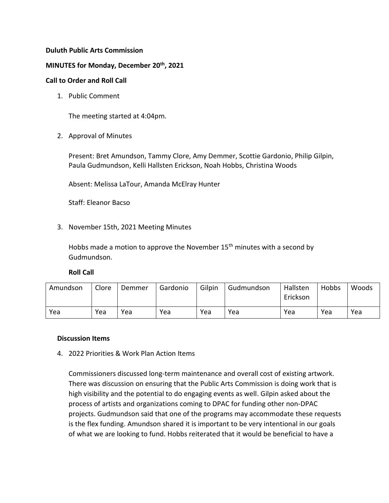# **Duluth Public Arts Commission**

### **MINUTES for Monday, December 20th, 2021**

### **Call to Order and Roll Call**

1. Public Comment

The meeting started at 4:04pm.

2. Approval of Minutes

Present: Bret Amundson, Tammy Clore, Amy Demmer, Scottie Gardonio, Philip Gilpin, Paula Gudmundson, Kelli Hallsten Erickson, Noah Hobbs, Christina Woods

Absent: Melissa LaTour, Amanda McElray Hunter

Staff: Eleanor Bacso

3. November 15th, 2021 Meeting Minutes

Hobbs made a motion to approve the November  $15<sup>th</sup>$  minutes with a second by Gudmundson.

### **Roll Call**

| Amundson | Clore | Demmer | Gardonio | Gilpin | Gudmundson | Hallsten<br>Erickson | Hobbs | Woods |
|----------|-------|--------|----------|--------|------------|----------------------|-------|-------|
| Yea      | Yea   | Yea    | Yea      | Yea    | Yea        | Yea                  | Yea   | Yea   |

#### **Discussion Items**

4. 2022 Priorities & Work Plan Action Items

Commissioners discussed long-term maintenance and overall cost of existing artwork. There was discussion on ensuring that the Public Arts Commission is doing work that is high visibility and the potential to do engaging events as well. Gilpin asked about the process of artists and organizations coming to DPAC for funding other non-DPAC projects. Gudmundson said that one of the programs may accommodate these requests is the flex funding. Amundson shared it is important to be very intentional in our goals of what we are looking to fund. Hobbs reiterated that it would be beneficial to have a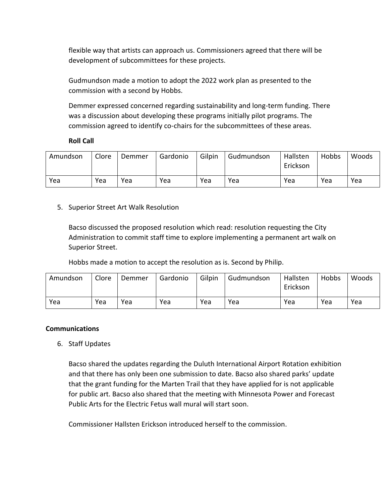flexible way that artists can approach us. Commissioners agreed that there will be development of subcommittees for these projects.

Gudmundson made a motion to adopt the 2022 work plan as presented to the commission with a second by Hobbs.

Demmer expressed concerned regarding sustainability and long-term funding. There was a discussion about developing these programs initially pilot programs. The commission agreed to identify co-chairs for the subcommittees of these areas.

# **Roll Call**

| Amundson | Clore | Demmer | Gardonio | Gilpin | Gudmundson | Hallsten<br>Erickson | Hobbs | Woods |
|----------|-------|--------|----------|--------|------------|----------------------|-------|-------|
| Yea      | Yea   | Yea    | Yea      | Yea    | Yea        | Yea                  | Yea   | Yea   |

# 5. Superior Street Art Walk Resolution

Bacso discussed the proposed resolution which read: resolution requesting the City Administration to commit staff time to explore implementing a permanent art walk on Superior Street.

Hobbs made a motion to accept the resolution as is. Second by Philip.

| Amundson | Clore | Demmer | Gardonio | Gilpin | Gudmundson | Hallsten<br>Erickson | Hobbs | Woods |
|----------|-------|--------|----------|--------|------------|----------------------|-------|-------|
| Yea      | Yea   | Yea    | Yea      | Yea    | Yea        | Yea                  | Yea   | Yea   |

# **Communications**

6. Staff Updates

Bacso shared the updates regarding the Duluth International Airport Rotation exhibition and that there has only been one submission to date. Bacso also shared parks' update that the grant funding for the Marten Trail that they have applied for is not applicable for public art. Bacso also shared that the meeting with Minnesota Power and Forecast Public Arts for the Electric Fetus wall mural will start soon.

Commissioner Hallsten Erickson introduced herself to the commission.